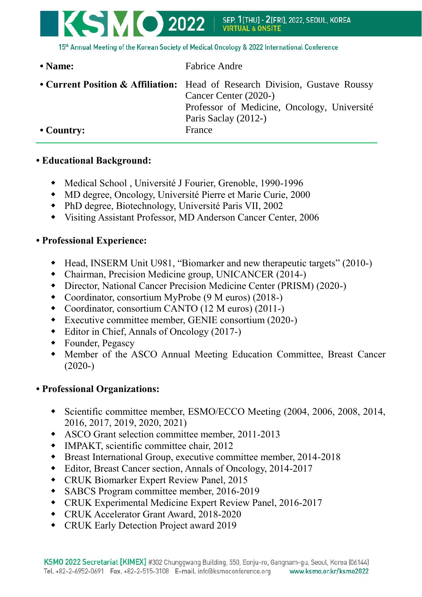

15th Annual Meeting of the Korean Society of Medical Oncology & 2022 International Conference

| • Name:            | <b>Fabrice Andre</b>                                                                                                                                                        |
|--------------------|-----------------------------------------------------------------------------------------------------------------------------------------------------------------------------|
|                    | • Current Position & Affiliation: Head of Research Division, Gustave Roussy<br>Cancer Center (2020-)<br>Professor of Medicine, Oncology, Université<br>Paris Saclay (2012-) |
| $\bullet$ Country: | France                                                                                                                                                                      |

## **• Educational Background:**

- Medical School , Université J Fourier, Grenoble, 1990-1996
- MD degree, Oncology, Université Pierre et Marie Curie, 2000
- PhD degree, Biotechnology, Université Paris VII, 2002
- Visiting Assistant Professor, MD Anderson Cancer Center, 2006

## **• Professional Experience:**

- Head, INSERM Unit U981, "Biomarker and new therapeutic targets" (2010-)
- Chairman, Precision Medicine group, UNICANCER (2014-)
- Director, National Cancer Precision Medicine Center (PRISM) (2020-)
- Coordinator, consortium MyProbe (9 M euros) (2018-)
- Coordinator, consortium CANTO (12 M euros) (2011-)
- Executive committee member, GENIE consortium (2020-)
- Editor in Chief, Annals of Oncology (2017-)
- Founder, Pegascy
- Member of the ASCO Annual Meeting Education Committee, Breast Cancer (2020-)

## **• Professional Organizations:**

- Scientific committee member, ESMO/ECCO Meeting (2004, 2006, 2008, 2014, 2016, 2017, 2019, 2020, 2021)
- ASCO Grant selection committee member, 2011-2013
- IMPAKT, scientific committee chair, 2012
- Breast International Group, executive committee member, 2014-2018
- Editor, Breast Cancer section, Annals of Oncology, 2014-2017
- CRUK Biomarker Expert Review Panel, 2015
- SABCS Program committee member, 2016-2019
- CRUK Experimental Medicine Expert Review Panel, 2016-2017
- CRUK Accelerator Grant Award, 2018-2020
- CRUK Early Detection Project award 2019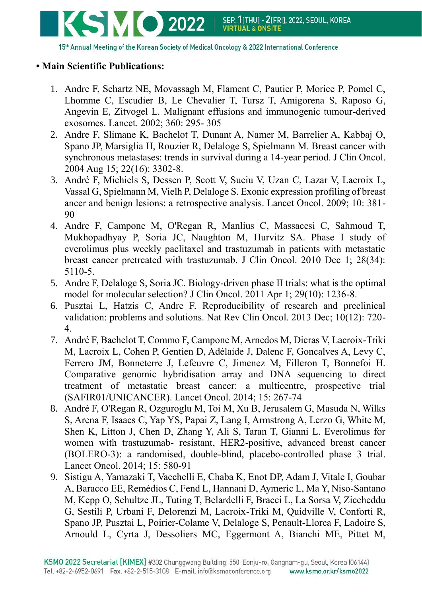

15th Annual Meeting of the Korean Society of Medical Oncology & 2022 International Conference

## **• Main Scientific Publications:**

- 1. Andre F, Schartz NE, Movassagh M, Flament C, Pautier P, Morice P, Pomel C, Lhomme C, Escudier B, Le Chevalier T, Tursz T, Amigorena S, Raposo G, Angevin E, Zitvogel L. Malignant effusions and immunogenic tumour-derived exosomes. Lancet. 2002; 360: 295- 305
- 2. Andre F, Slimane K, Bachelot T, Dunant A, Namer M, Barrelier A, Kabbaj O, Spano JP, Marsiglia H, Rouzier R, Delaloge S, Spielmann M. Breast cancer with synchronous metastases: trends in survival during a 14-year period. J Clin Oncol. 2004 Aug 15; 22(16): 3302-8.
- 3. André F, Michiels S, Dessen P, Scott V, Suciu V, Uzan C, Lazar V, Lacroix L, Vassal G, Spielmann M, Vielh P, Delaloge S. Exonic expression profiling of breast ancer and benign lesions: a retrospective analysis. Lancet Oncol. 2009; 10: 381- 90
- 4. Andre F, Campone M, O'Regan R, Manlius C, Massacesi C, Sahmoud T, Mukhopadhyay P, Soria JC, Naughton M, Hurvitz SA. Phase I study of everolimus plus weekly paclitaxel and trastuzumab in patients with metastatic breast cancer pretreated with trastuzumab. J Clin Oncol. 2010 Dec 1; 28(34): 5110-5.
- 5. Andre F, Delaloge S, Soria JC. Biology-driven phase II trials: what is the optimal model for molecular selection? J Clin Oncol. 2011 Apr 1; 29(10): 1236-8.
- 6. Pusztai L, Hatzis C, Andre F. Reproducibility of research and preclinical validation: problems and solutions. Nat Rev Clin Oncol. 2013 Dec; 10(12): 720- 4.
- 7. André F, Bachelot T, Commo F, Campone M, Arnedos M, Dieras V, Lacroix-Triki M, Lacroix L, Cohen P, Gentien D, Adélaide J, Dalenc F, Goncalves A, Levy C, Ferrero JM, Bonneterre J, Lefeuvre C, Jimenez M, Filleron T, Bonnefoi H. Comparative genomic hybridisation array and DNA sequencing to direct treatment of metastatic breast cancer: a multicentre, prospective trial (SAFIR01/UNICANCER). Lancet Oncol. 2014; 15: 267-74
- 8. André F, O'Regan R, Ozguroglu M, Toi M, Xu B, Jerusalem G, Masuda N, Wilks S, Arena F, Isaacs C, Yap YS, Papai Z, Lang I, Armstrong A, Lerzo G, White M, Shen K, Litton J, Chen D, Zhang Y, Ali S, Taran T, Gianni L. Everolimus for women with trastuzumab- resistant, HER2-positive, advanced breast cancer (BOLERO-3): a randomised, double-blind, placebo-controlled phase 3 trial. Lancet Oncol. 2014; 15: 580-91
- 9. Sistigu A, Yamazaki T, Vacchelli E, Chaba K, Enot DP, Adam J, Vitale I, Goubar A, Baracco EE, Remédios C, Fend L, Hannani D, Aymeric L, Ma Y, Niso-Santano M, Kepp O, Schultze JL, Tuting T, Belardelli F, Bracci L, La Sorsa V, Ziccheddu G, Sestili P, Urbani F, Delorenzi M, Lacroix-Triki M, Quidville V, Conforti R, Spano JP, Pusztai L, Poirier-Colame V, Delaloge S, Penault-Llorca F, Ladoire S, Arnould L, Cyrta J, Dessoliers MC, Eggermont A, Bianchi ME, Pittet M,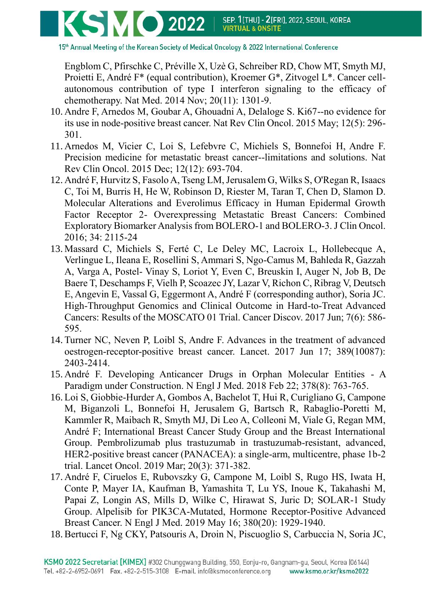

15th Annual Meeting of the Korean Society of Medical Oncology & 2022 International Conference

Engblom C, Pfirschke C, Préville X, Uzè G, Schreiber RD, Chow MT, Smyth MJ, Proietti E, André F\* (equal contribution), Kroemer G\*, Zitvogel L\*. Cancer cellautonomous contribution of type I interferon signaling to the efficacy of chemotherapy. Nat Med. 2014 Nov; 20(11): 1301-9.

- 10. Andre F, Arnedos M, Goubar A, Ghouadni A, Delaloge S. Ki67--no evidence for its use in node-positive breast cancer. Nat Rev Clin Oncol. 2015 May; 12(5): 296- 301.
- 11. Arnedos M, Vicier C, Loi S, Lefebvre C, Michiels S, Bonnefoi H, Andre F. Precision medicine for metastatic breast cancer--limitations and solutions. Nat Rev Clin Oncol. 2015 Dec; 12(12): 693-704.
- 12. André F, Hurvitz S, Fasolo A, Tseng LM, Jerusalem G, Wilks S, O'Regan R, Isaacs C, Toi M, Burris H, He W, Robinson D, Riester M, Taran T, Chen D, Slamon D. Molecular Alterations and Everolimus Efficacy in Human Epidermal Growth Factor Receptor 2- Overexpressing Metastatic Breast Cancers: Combined Exploratory Biomarker Analysis from BOLERO-1 and BOLERO-3. J Clin Oncol. 2016; 34: 2115-24
- 13. Massard C, Michiels S, Ferté C, Le Deley MC, Lacroix L, Hollebecque A, Verlingue L, Ileana E, Rosellini S, Ammari S, Ngo-Camus M, Bahleda R, Gazzah A, Varga A, Postel- Vinay S, Loriot Y, Even C, Breuskin I, Auger N, Job B, De Baere T, Deschamps F, Vielh P, Scoazec JY, Lazar V, Richon C, Ribrag V, Deutsch E, Angevin E, Vassal G, Eggermont A, André F (corresponding author), Soria JC. High-Throughput Genomics and Clinical Outcome in Hard-to-Treat Advanced Cancers: Results of the MOSCATO 01 Trial. Cancer Discov. 2017 Jun; 7(6): 586- 595.
- 14. Turner NC, Neven P, Loibl S, Andre F. Advances in the treatment of advanced oestrogen-receptor-positive breast cancer. Lancet. 2017 Jun 17; 389(10087): 2403-2414.
- 15. André F. Developing Anticancer Drugs in Orphan Molecular Entities A Paradigm under Construction. N Engl J Med. 2018 Feb 22; 378(8): 763-765.
- 16. Loi S, Giobbie-Hurder A, Gombos A, Bachelot T, Hui R, Curigliano G, Campone M, Biganzoli L, Bonnefoi H, Jerusalem G, Bartsch R, Rabaglio-Poretti M, Kammler R, Maibach R, Smyth MJ, Di Leo A, Colleoni M, Viale G, Regan MM, André F; International Breast Cancer Study Group and the Breast International Group. Pembrolizumab plus trastuzumab in trastuzumab-resistant, advanced, HER2-positive breast cancer (PANACEA): a single-arm, multicentre, phase 1b-2 trial. Lancet Oncol. 2019 Mar; 20(3): 371-382.
- 17. André F, Ciruelos E, Rubovszky G, Campone M, Loibl S, Rugo HS, Iwata H, Conte P, Mayer IA, Kaufman B, Yamashita T, Lu YS, Inoue K, Takahashi M, Papai Z, Longin AS, Mills D, Wilke C, Hirawat S, Juric D; SOLAR-1 Study Group. Alpelisib for PIK3CA-Mutated, Hormone Receptor-Positive Advanced Breast Cancer. N Engl J Med. 2019 May 16; 380(20): 1929-1940.
- 18.Bertucci F, Ng CKY, Patsouris A, Droin N, Piscuoglio S, Carbuccia N, Soria JC,